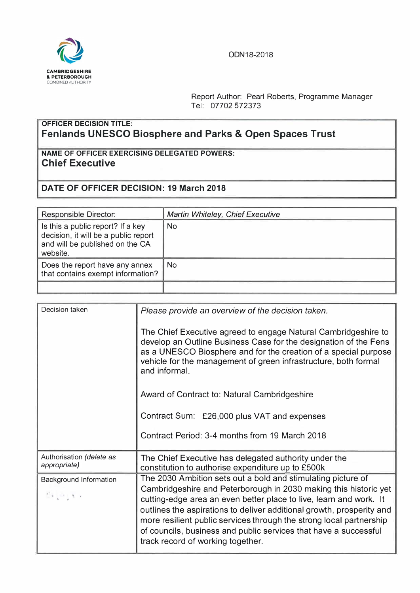

## ODN18-2018

Report Author: Pearl Roberts, Programme Manager Tel: 07702 572373

## **OFFICER DECISION TITLE: Fenlands UNESCO Biosphere and Parks & Open Spaces Trust**

**NAME OF OFFICER EXERCISING DELEGATED POWERS: Chief Executive** 

## **DATE OF OFFICER DECISION: 19 March 2018**

| Responsible Director:                                                                                                    | Martin Whiteley, Chief Executive |
|--------------------------------------------------------------------------------------------------------------------------|----------------------------------|
| Is this a public report? If a key<br>decision, it will be a public report<br>and will be published on the CA<br>website. | N <sub>o</sub>                   |
| Does the report have any annex<br>that contains exempt information?                                                      | No.                              |
|                                                                                                                          |                                  |

| Decision taken                                                                                                                           | Please provide an overview of the decision taken.                                                                                                                                                                                                                                                                                                                                                                                                               |  |
|------------------------------------------------------------------------------------------------------------------------------------------|-----------------------------------------------------------------------------------------------------------------------------------------------------------------------------------------------------------------------------------------------------------------------------------------------------------------------------------------------------------------------------------------------------------------------------------------------------------------|--|
|                                                                                                                                          | The Chief Executive agreed to engage Natural Cambridgeshire to<br>develop an Outline Business Case for the designation of the Fens<br>as a UNESCO Biosphere and for the creation of a special purpose<br>vehicle for the management of green infrastructure, both formal<br>and informal.                                                                                                                                                                       |  |
|                                                                                                                                          | Award of Contract to: Natural Cambridgeshire                                                                                                                                                                                                                                                                                                                                                                                                                    |  |
|                                                                                                                                          | Contract Sum: £26,000 plus VAT and expenses                                                                                                                                                                                                                                                                                                                                                                                                                     |  |
|                                                                                                                                          | Contract Period: 3-4 months from 19 March 2018                                                                                                                                                                                                                                                                                                                                                                                                                  |  |
| Authorisation (delete as<br>appropriate)                                                                                                 | The Chief Executive has delegated authority under the<br>constitution to authorise expenditure up to £500k                                                                                                                                                                                                                                                                                                                                                      |  |
| Background Information<br>$\begin{array}{c} \mathcal{C}_1 \otimes \mathcal{C}_2 \otimes \mathcal{C}_3 \otimes \mathcal{C}_4 \end{array}$ | The 2030 Ambition sets out a bold and stimulating picture of<br>Cambridgeshire and Peterborough in 2030 making this historic yet<br>cutting-edge area an even better place to live, learn and work. It<br>outlines the aspirations to deliver additional growth, prosperity and<br>more resilient public services through the strong local partnership<br>of councils, business and public services that have a successful<br>track record of working together. |  |